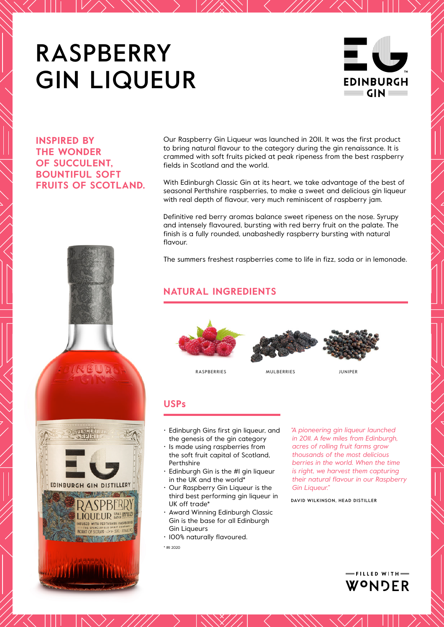# RASPBERRY GIN LIQUEUR



**INSPIRED BY THE WONDER OF SUCCULENT, BOUNTIFUL SOFT FRUITS OF SCOTLAND.**



Our Raspberry Gin Liqueur was launched in 2011. It was the first product to bring natural flavour to the category during the gin renaissance. It is crammed with soft fruits picked at peak ripeness from the best raspberry fields in Scotland and the world.

With Edinburgh Classic Gin at its heart, we take advantage of the best of seasonal Perthshire raspberries, to make a sweet and delicious gin liqueur with real depth of flavour, very much reminiscent of raspberry jam.

Definitive red berry aromas balance sweet ripeness on the nose. Syrupy and intensely flavoured, bursting with red berry fruit on the palate. The finish is a fully rounded, unabashedly raspberry bursting with natural flavour.

The summers freshest raspberries come to life in fizz, soda or in lemonade.

## **NATURAL INGREDIENTS**



RASPBERRIES MULBERRIES JUNIPER

#### **USPs**

- Edinburgh Gins first gin liqueur, and the genesis of the gin category
- Is made using raspberries from the soft fruit capital of Scotland, **Perthshire**
- Edinburgh Gin is the #1 gin liqueur in the UK and the world\*
- Our Raspberry Gin Liqueur is the third best performing gin liqueur in UK off trade\*
- Award Winning Edinburgh Classic Gin is the base for all Edinburgh **Gin Liqueurs**
- 100% naturally flavoured.
- $*$  IDI 2020

*"A pioneering gin liqueur launched in 2011. A few miles from Edinburgh, acres of rolling fruit farms grow thousands of the most delicious berries in the world. When the time is right, we harvest them capturing their natural flavour in our Raspberry Gin Liqueur."* 

DAVID WILKINSON, HEAD DISTILLER